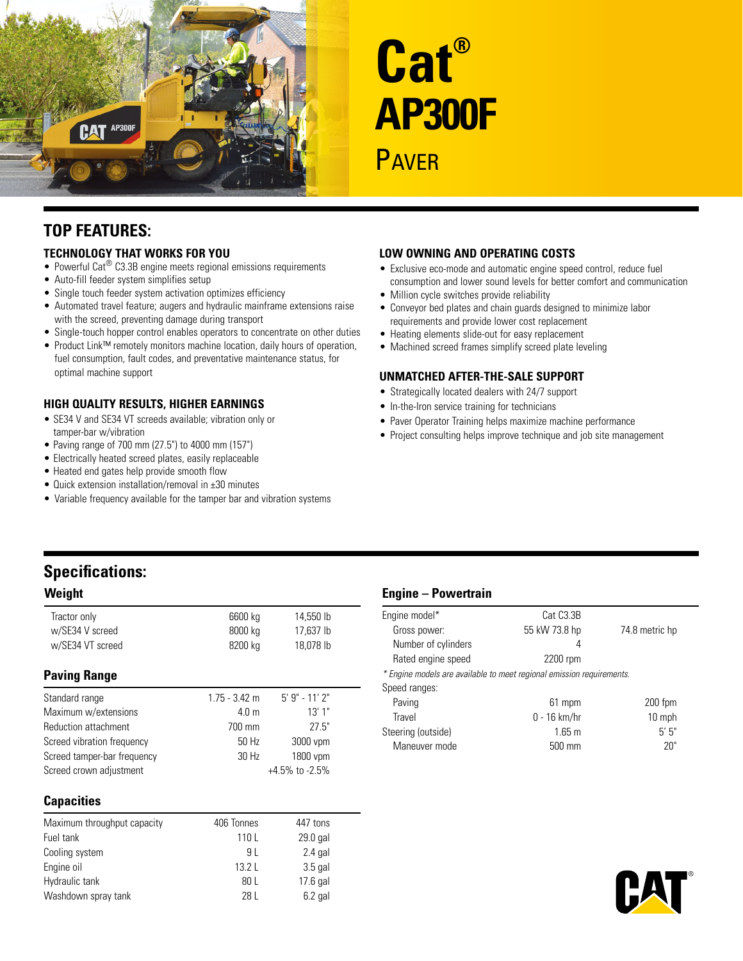

# **Cat® AP300F PAVER**

### **Top Features:**

### **Technology That Works for You**

- Powerful Cat<sup>®</sup> C3.3B engine meets regional emissions requirements
- Auto-fill feeder system simplifies setup
- Single touch feeder system activation optimizes efficiency
- Automated travel feature; augers and hydraulic mainframe extensions raise with the screed, preventing damage during transport
- Single-touch hopper control enables operators to concentrate on other duties
- Product Link™ remotely monitors machine location, daily hours of operation, fuel consumption, fault codes, and preventative maintenance status, for optimal machine support

### **High Quality Results, Higher Earnings**

- SE34 V and SE34 VT screeds available; vibration only or tamper-bar w/vibration
- • Paving range of 700 mm (27.5") to 4000 mm (157")
- Electrically heated screed plates, easily replaceable
- Heated end gates help provide smooth flow
- Quick extension installation/removal in ±30 minutes
- Variable frequency available for the tamper bar and vibration systems

### **Low Owning and Operating Costs**

- Exclusive eco-mode and automatic engine speed control, reduce fuel consumption and lower sound levels for better comfort and communication
- Million cycle switches provide reliability
- Conveyor bed plates and chain guards designed to minimize labor requirements and provide lower cost replacement
- Heating elements slide-out for easy replacement
- Machined screed frames simplify screed plate leveling

### **Unmatched After-the-Sale Support**

- Strategically located dealers with 24/7 support
- In-the-Iron service training for technicians
- Paver Operator Training helps maximize machine performance
- Project consulting helps improve technique and job site management

## **Specifications:**

| Tractor only<br>w/SE34 V screed | 6600 kg<br>8000 kg | 14,550 lb<br>17,637 lb |
|---------------------------------|--------------------|------------------------|
| w/SE34 VT screed                | 8200 kg            | 18,078 lb              |
| <b>Paving Range</b>             |                    |                        |
| Standard range                  | $1.75 - 3.42$ m    | $5'$ 9" - 11' 2"       |
| Maximum w/extensions            | 4.0 <sub>m</sub>   | 13'1''                 |
| <b>Reduction attachment</b>     | 700 mm             | 27.5"                  |
| Screed vibration frequency      | 50 Hz              | 3000 vpm               |
| Screed tamper-bar frequency     | 30 Hz              | 1800 vpm               |
| Screed crown adjustment         |                    | $+4.5\%$ to $-2.5\%$   |

### **Capacities**

| Maximum throughput capacity | 406 Tonnes | 447 tons   |
|-----------------------------|------------|------------|
| Fuel tank                   | 110 L      | 29.0 gal   |
| Cooling system              | 91         | $2.4$ gal  |
| Engine oil                  | 1321       | $3.5$ gal  |
| Hydraulic tank              | 80 L       | $17.6$ gal |
| Washdown spray tank         | 28 L       | $6.2$ gal  |

### **Weight Engine – Powertrain**

| Engine model*                                                         | Cat C <sub>3</sub> .3B |                |  |  |
|-----------------------------------------------------------------------|------------------------|----------------|--|--|
| Gross power:                                                          | 55 kW 73.8 hp          | 74.8 metric hp |  |  |
| Number of cylinders                                                   | 4                      |                |  |  |
| Rated engine speed                                                    | 2200 rpm               |                |  |  |
| * Engine models are available to meet regional emission requirements. |                        |                |  |  |
| Speed ranges:                                                         |                        |                |  |  |
| Paving                                                                | 61 mpm                 | $200$ fpm      |  |  |
| Travel                                                                | $0 - 16$ km/hr         | 10 mph         |  |  |
| Steering (outside)                                                    | $1.65 \text{ m}$       | 5'5''          |  |  |
| Maneuver mode                                                         | 500 mm                 | 20"            |  |  |
|                                                                       |                        |                |  |  |